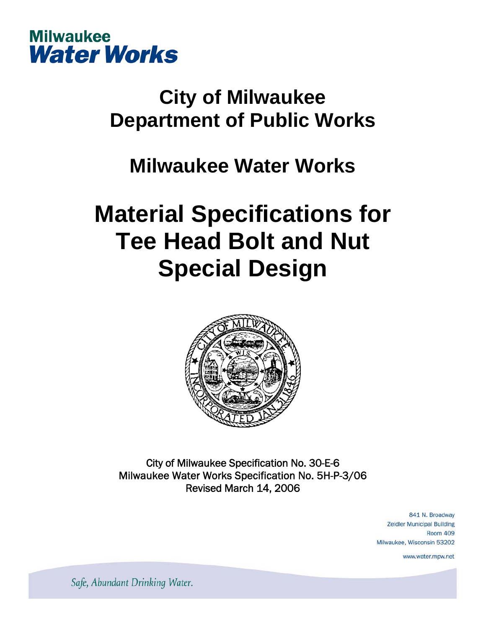

## **City of Milwaukee Department of Public Works**

### **Milwaukee Water Works**

# **Material Specifications for Tee Head Bolt and Nut Special Design**



City of Milwaukee Specification No. 30-E-6 Milwaukee Water Works Specification No. 5H-P-3/06 Revised March 14, 2006

> 841 N. Broadway **Zeidler Municipal Building Room 409** Milwaukee, Wisconsin 53202

> > www.water.mpw.net

Safe, Abundant Drinking Water.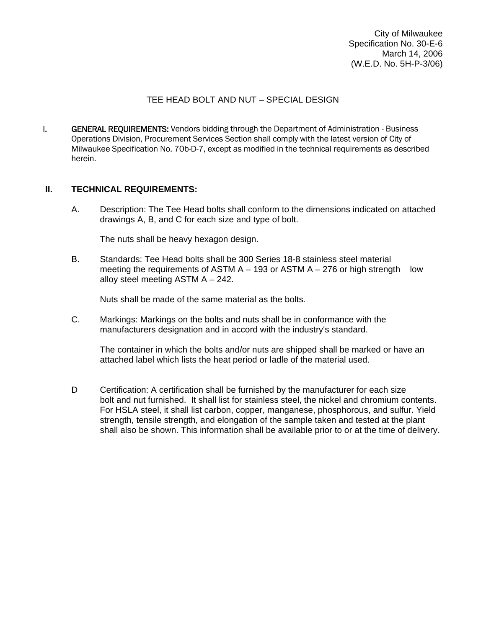City of Milwaukee Specification No. 30-E-6 March 14, 2006 (W.E.D. No. 5H-P-3/06)

### TEE HEAD BOLT AND NUT – SPECIAL DESIGN

**I. GENERAL REQUIREMENTS:** Vendors bidding through the Department of Administration - Business Operations Division, Procurement Services Section shall comply with the latest version of City of Milwaukee Specification No. 70b-D-7, except as modified in the technical requirements as described herein.

#### **II. TECHNICAL REQUIREMENTS:**

 A. Description: The Tee Head bolts shall conform to the dimensions indicated on attached drawings A, B, and C for each size and type of bolt.

The nuts shall be heavy hexagon design.

B. Standards: Tee Head bolts shall be 300 Series 18-8 stainless steel material meeting the requirements of ASTM  $A - 193$  or ASTM  $A - 276$  or high strength low alloy steel meeting ASTM A – 242.

Nuts shall be made of the same material as the bolts.

 C. Markings: Markings on the bolts and nuts shall be in conformance with the manufacturers designation and in accord with the industry's standard.

 The container in which the bolts and/or nuts are shipped shall be marked or have an attached label which lists the heat period or ladle of the material used.

D Certification: A certification shall be furnished by the manufacturer for each size bolt and nut furnished. It shall list for stainless steel, the nickel and chromium contents. For HSLA steel, it shall list carbon, copper, manganese, phosphorous, and sulfur. Yield strength, tensile strength, and elongation of the sample taken and tested at the plant shall also be shown. This information shall be available prior to or at the time of delivery.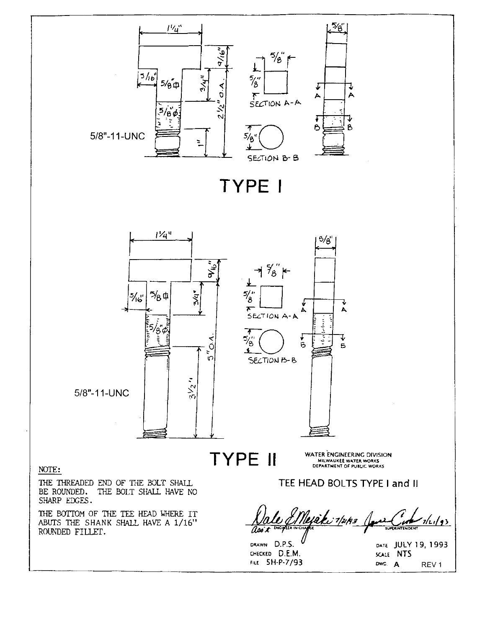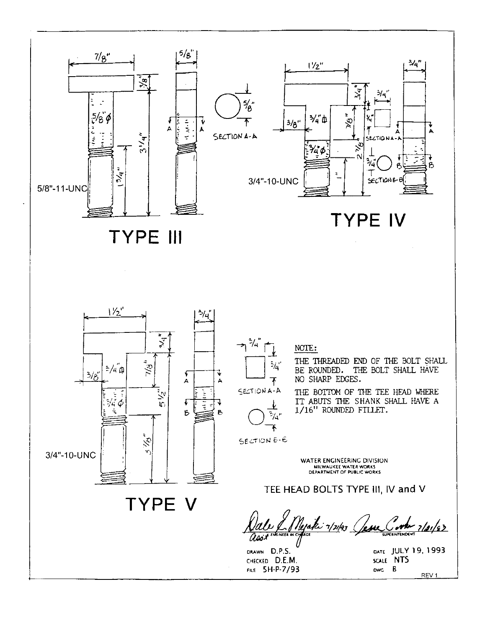